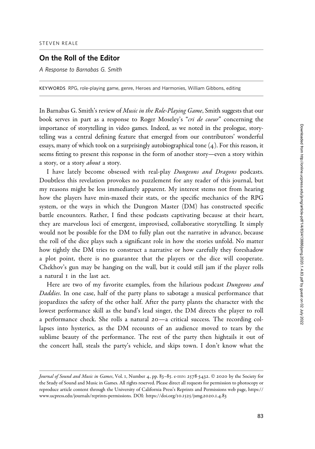## On the Roll of the Editor

A Response to Barnabas G. Smith

KEYWORDS RPG, role-playing game, genre, Heroes and Harmonies, William Gibbons, editing

In Barnabas G. Smith's review of Music in the Role-Playing Game, Smith suggests that our book serves in part as a response to Roger Moseley's "cri de coeur" concerning the importance of storytelling in video games. Indeed, as we noted in the prologue, storytelling was a central defining feature that emerged from our contributors' wonderful essays, many of which took on a surprisingly autobiographical tone (4). For this reason, it seems fitting to present this response in the form of another story—even a story within a story, or a story about a story.

I have lately become obsessed with real-play Dungeons and Dragons podcasts. Doubtless this revelation provokes no puzzlement for any reader of this journal, but my reasons might be less immediately apparent. My interest stems not from hearing how the players have min-maxed their stats, or the specific mechanics of the RPG system, or the ways in which the Dungeon Master (DM) has constructed specific battle encounters. Rather, I find these podcasts captivating because at their heart, they are marvelous loci of emergent, improvised, collaborative storytelling. It simply would not be possible for the DM to fully plan out the narrative in advance, because the roll of the dice plays such a significant role in how the stories unfold. No matter how tightly the DM tries to construct a narrative or how carefully they foreshadow a plot point, there is no guarantee that the players or the dice will cooperate. Chekhov's gun may be hanging on the wall, but it could still jam if the player rolls a natural 1 in the last act.

Here are two of my favorite examples, from the hilarious podcast Dungeons and Daddies. In one case, half of the party plans to sabotage a musical performance that jeopardizes the safety of the other half. After the party plants the character with the lowest performance skill as the band's lead singer, the DM directs the player to roll a performance check. She rolls a natural 20—a critical success. The recording collapses into hysterics, as the DM recounts of an audience moved to tears by the sublime beauty of the performance. The rest of the party then hightails it out of the concert hall, steals the party's vehicle, and skips town. I don't know what the

Journal of Sound and Music in Games, Vol. 1, Number 4, pp. 83-85. e-ISSN: 2578-3432. © 2020 by the Society for the Study of Sound and Music in Games. All rights reserved. Please direct all requests for permission to photocopy or reproduce article content through the University of California Press's Reprints and Permissions web page, [https://](https://www.ucpress.edu/journals/reprints-permissions) [www.ucpress.edu/journals/reprints-permissions](https://www.ucpress.edu/journals/reprints-permissions). [DOI: https://doi.org/](https://doi.org/10.1525/jsmg.2020.1.4.83)10.1525/jsmg.2020.1.4.83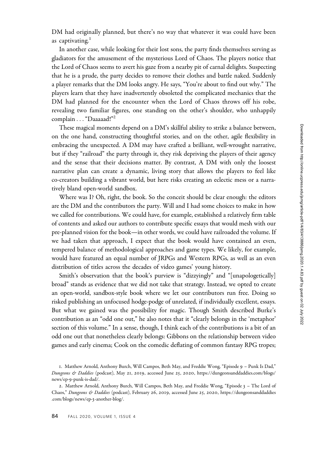DM had originally planned, but there's no way that whatever it was could have been as captivating. $<sup>1</sup>$ </sup>

In another case, while looking for their lost sons, the party finds themselves serving as gladiators for the amusement of the mysterious Lord of Chaos. The players notice that the Lord of Chaos seems to avert his gaze from a nearby pit of carnal delights. Suspecting that he is a prude, the party decides to remove their clothes and battle naked. Suddenly a player remarks that the DM looks angry. He says, "You're about to find out why." The players learn that they have inadvertently obsoleted the complicated mechanics that the DM had planned for the encounter when the Lord of Chaos throws off his robe, revealing two familiar figures, one standing on the other's shoulder, who unhappily complain . . . "Daaaaad!"<sup>2</sup>

These magical moments depend on a DM's skillful ability to strike a balance between, on the one hand, constructing thoughtful stories, and on the other, agile flexibility in embracing the unexpected. A DM may have crafted a brilliant, well-wrought narrative, but if they "railroad" the party through it, they risk depriving the players of their agency and the sense that their decisions matter. By contrast, A DM with only the loosest narrative plan can create a dynamic, living story that allows the players to feel like co-creators building a vibrant world, but here risks creating an eclectic mess or a narratively bland open-world sandbox.

Where was I? Oh, right, the book. So the conceit should be clear enough: the editors are the DM and the contributors the party. Will and I had some choices to make in how we called for contributions. We could have, for example, established a relatively firm table of contents and asked our authors to contribute specific essays that would mesh with our pre-planned vision for the book—in other words, we could have railroaded the volume. If we had taken that approach, I expect that the book would have contained an even, tempered balance of methodological approaches and game types. We likely, for example, would have featured an equal number of JRPGs and Western RPGs, as well as an even distribution of titles across the decades of video games' young history.

Smith's observation that the book's purview is "dizzyingly" and "[unapologetically] broad" stands as evidence that we did not take that strategy. Instead, we opted to create an open-world, sandbox-style book where we let our contributors run free. Doing so risked publishing an unfocused hodge-podge of unrelated, if individually excellent, essays. But what we gained was the possibility for magic. Though Smith described Burke's contribution as an "odd one out," he also notes that it "clearly belongs in the 'metaphor' section of this volume." In a sense, though, I think each of the contributions is a bit of an odd one out that nonetheless clearly belongs: Gibbons on the relationship between video games and early cinema; Cook on the comedic deflating of common fantasy RPG tropes;

<sup>1</sup>. Matthew Arnold, Anthony Burch, Will Campos, Beth May, and Freddie Wong, "Episode 9 – Punk Is Dad," Dungeons & Daddies (podcast), May 21, 2019, accessed June 25, 2020, [https://dungeonsanddaddies.com/blogs/](https://dungeonsanddaddies.com/blogs/news/ep-9-punk-is-dad/) news/ep-9[-punk-is-dad/.](https://dungeonsanddaddies.com/blogs/news/ep-9-punk-is-dad/)

<sup>2</sup>. Matthew Arnold, Anthony Burch, Will Campos, Beth May, and Freddie Wong, "Episode 3 – The Lord of Chaos," Dungeons & Daddies (podcast), February 26, 2019, accessed June 25, 2020, [https://dungeonsanddaddies](https://dungeonsanddaddies.com/blogs/news/ep-3-another-blog/) [.com/blogs/news/ep-](https://dungeonsanddaddies.com/blogs/news/ep-3-another-blog/)3-another-blog/.